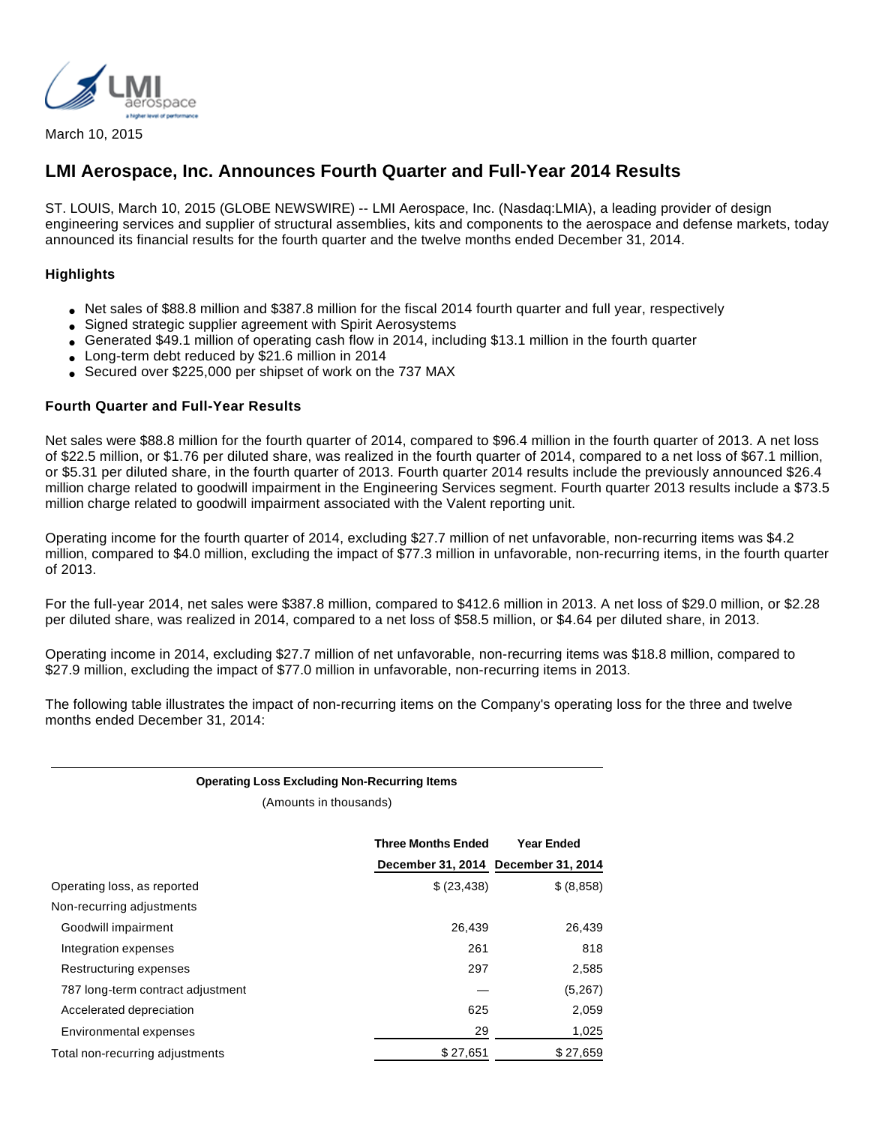

March 10, 2015

# **LMI Aerospace, Inc. Announces Fourth Quarter and Full-Year 2014 Results**

ST. LOUIS, March 10, 2015 (GLOBE NEWSWIRE) -- LMI Aerospace, Inc. (Nasdaq:LMIA), a leading provider of design engineering services and supplier of structural assemblies, kits and components to the aerospace and defense markets, today announced its financial results for the fourth quarter and the twelve months ended December 31, 2014.

# **Highlights**

- Net sales of \$88.8 million and \$387.8 million for the fiscal 2014 fourth quarter and full year, respectively
- Signed strategic supplier agreement with Spirit Aerosystems
- Generated \$49.1 million of operating cash flow in 2014, including \$13.1 million in the fourth quarter
- Long-term debt reduced by \$21.6 million in 2014
- Secured over \$225,000 per shipset of work on the 737 MAX

# **Fourth Quarter and Full-Year Results**

Net sales were \$88.8 million for the fourth quarter of 2014, compared to \$96.4 million in the fourth quarter of 2013. A net loss of \$22.5 million, or \$1.76 per diluted share, was realized in the fourth quarter of 2014, compared to a net loss of \$67.1 million, or \$5.31 per diluted share, in the fourth quarter of 2013. Fourth quarter 2014 results include the previously announced \$26.4 million charge related to goodwill impairment in the Engineering Services segment. Fourth quarter 2013 results include a \$73.5 million charge related to goodwill impairment associated with the Valent reporting unit.

Operating income for the fourth quarter of 2014, excluding \$27.7 million of net unfavorable, non-recurring items was \$4.2 million, compared to \$4.0 million, excluding the impact of \$77.3 million in unfavorable, non-recurring items, in the fourth quarter of 2013.

For the full-year 2014, net sales were \$387.8 million, compared to \$412.6 million in 2013. A net loss of \$29.0 million, or \$2.28 per diluted share, was realized in 2014, compared to a net loss of \$58.5 million, or \$4.64 per diluted share, in 2013.

Operating income in 2014, excluding \$27.7 million of net unfavorable, non-recurring items was \$18.8 million, compared to \$27.9 million, excluding the impact of \$77.0 million in unfavorable, non-recurring items in 2013.

The following table illustrates the impact of non-recurring items on the Company's operating loss for the three and twelve months ended December 31, 2014:

### **Operating Loss Excluding Non-Recurring Items**

(Amounts in thousands)

|                                   | <b>Three Months Ended</b><br>December 31, 2014 December 31, 2014 | <b>Year Ended</b> |
|-----------------------------------|------------------------------------------------------------------|-------------------|
| Operating loss, as reported       | \$ (23, 438)                                                     | \$ (8,858)        |
| Non-recurring adjustments         |                                                                  |                   |
| Goodwill impairment               | 26,439                                                           | 26,439            |
| Integration expenses              | 261                                                              | 818               |
| Restructuring expenses            | 297                                                              | 2,585             |
| 787 long-term contract adjustment |                                                                  | (5,267)           |
| Accelerated depreciation          | 625                                                              | 2,059             |
| Environmental expenses            | 29                                                               | 1,025             |
| Total non-recurring adjustments   | \$27,651                                                         | \$27.659          |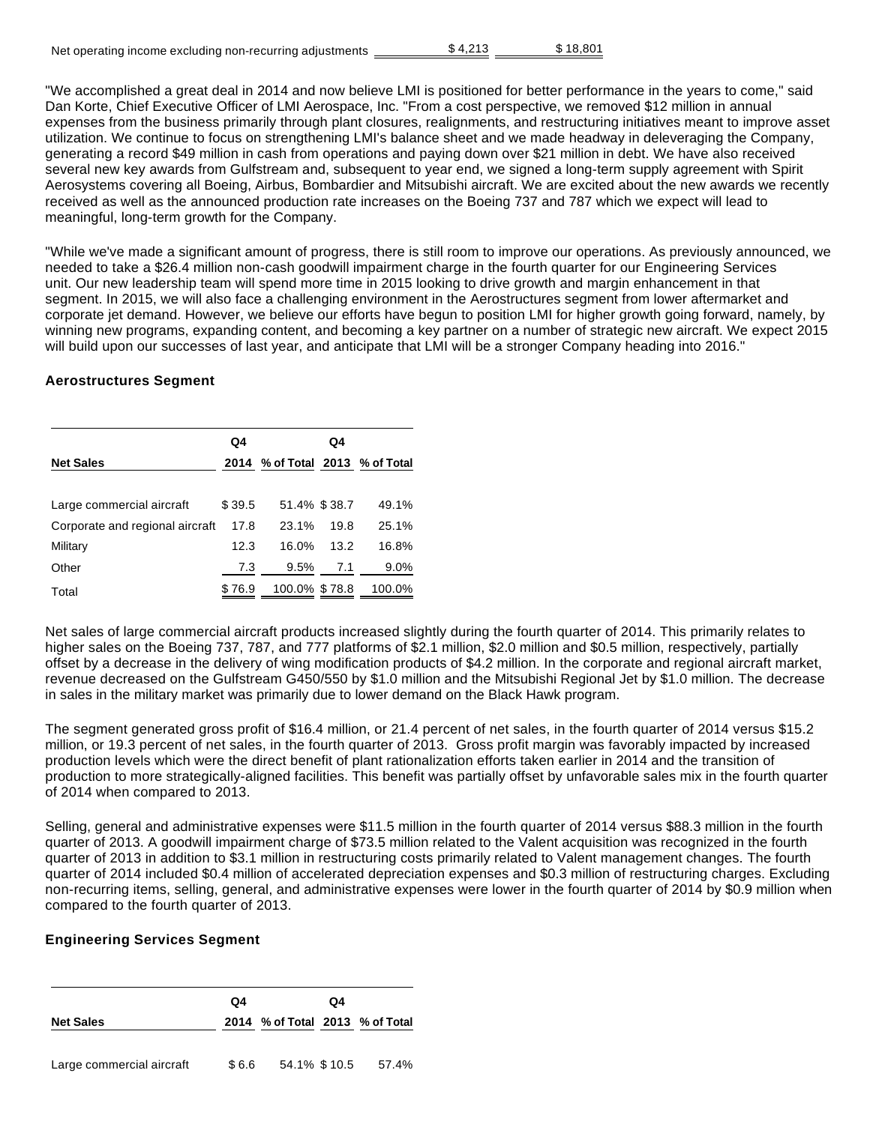| Net operating income excluding non-recurring adjustments | \$4.213 | \$18.801 |
|----------------------------------------------------------|---------|----------|
|                                                          |         |          |

"We accomplished a great deal in 2014 and now believe LMI is positioned for better performance in the years to come," said Dan Korte, Chief Executive Officer of LMI Aerospace, Inc. "From a cost perspective, we removed \$12 million in annual expenses from the business primarily through plant closures, realignments, and restructuring initiatives meant to improve asset utilization. We continue to focus on strengthening LMI's balance sheet and we made headway in deleveraging the Company, generating a record \$49 million in cash from operations and paying down over \$21 million in debt. We have also received several new key awards from Gulfstream and, subsequent to year end, we signed a long-term supply agreement with Spirit Aerosystems covering all Boeing, Airbus, Bombardier and Mitsubishi aircraft. We are excited about the new awards we recently received as well as the announced production rate increases on the Boeing 737 and 787 which we expect will lead to meaningful, long-term growth for the Company.

"While we've made a significant amount of progress, there is still room to improve our operations. As previously announced, we needed to take a \$26.4 million non-cash goodwill impairment charge in the fourth quarter for our Engineering Services unit. Our new leadership team will spend more time in 2015 looking to drive growth and margin enhancement in that segment. In 2015, we will also face a challenging environment in the Aerostructures segment from lower aftermarket and corporate jet demand. However, we believe our efforts have begun to position LMI for higher growth going forward, namely, by winning new programs, expanding content, and becoming a key partner on a number of strategic new aircraft. We expect 2015 will build upon our successes of last year, and anticipate that LMI will be a stronger Company heading into 2016."

# **Aerostructures Segment**

|                                 | Q4     |                                 | Q4   |        |
|---------------------------------|--------|---------------------------------|------|--------|
| <b>Net Sales</b>                |        | 2014 % of Total 2013 % of Total |      |        |
|                                 |        |                                 |      |        |
| Large commercial aircraft       | \$39.5 | 51.4% \$38.7                    |      | 49.1%  |
| Corporate and regional aircraft | 17.8   | 23.1%                           | 19.8 | 25.1%  |
| Military                        | 12.3   | 16.0%                           | 13.2 | 16.8%  |
| Other                           | 7.3    | 9.5%                            | 7.1  | 9.0%   |
| Total                           | \$76.9 | 100.0% \$78.8                   |      | 100.0% |

Net sales of large commercial aircraft products increased slightly during the fourth quarter of 2014. This primarily relates to higher sales on the Boeing 737, 787, and 777 platforms of \$2.1 million, \$2.0 million and \$0.5 million, respectively, partially offset by a decrease in the delivery of wing modification products of \$4.2 million. In the corporate and regional aircraft market, revenue decreased on the Gulfstream G450/550 by \$1.0 million and the Mitsubishi Regional Jet by \$1.0 million. The decrease in sales in the military market was primarily due to lower demand on the Black Hawk program.

The segment generated gross profit of \$16.4 million, or 21.4 percent of net sales, in the fourth quarter of 2014 versus \$15.2 million, or 19.3 percent of net sales, in the fourth quarter of 2013. Gross profit margin was favorably impacted by increased production levels which were the direct benefit of plant rationalization efforts taken earlier in 2014 and the transition of production to more strategically-aligned facilities. This benefit was partially offset by unfavorable sales mix in the fourth quarter of 2014 when compared to 2013.

Selling, general and administrative expenses were \$11.5 million in the fourth quarter of 2014 versus \$88.3 million in the fourth quarter of 2013. A goodwill impairment charge of \$73.5 million related to the Valent acquisition was recognized in the fourth quarter of 2013 in addition to \$3.1 million in restructuring costs primarily related to Valent management changes. The fourth quarter of 2014 included \$0.4 million of accelerated depreciation expenses and \$0.3 million of restructuring charges. Excluding non-recurring items, selling, general, and administrative expenses were lower in the fourth quarter of 2014 by \$0.9 million when compared to the fourth quarter of 2013.

# **Engineering Services Segment**

|                           | Q4    |                                 | Q4 |       |
|---------------------------|-------|---------------------------------|----|-------|
| <b>Net Sales</b>          |       | 2014 % of Total 2013 % of Total |    |       |
| Large commercial aircraft | \$6.6 | 54.1% \$10.5                    |    | 57.4% |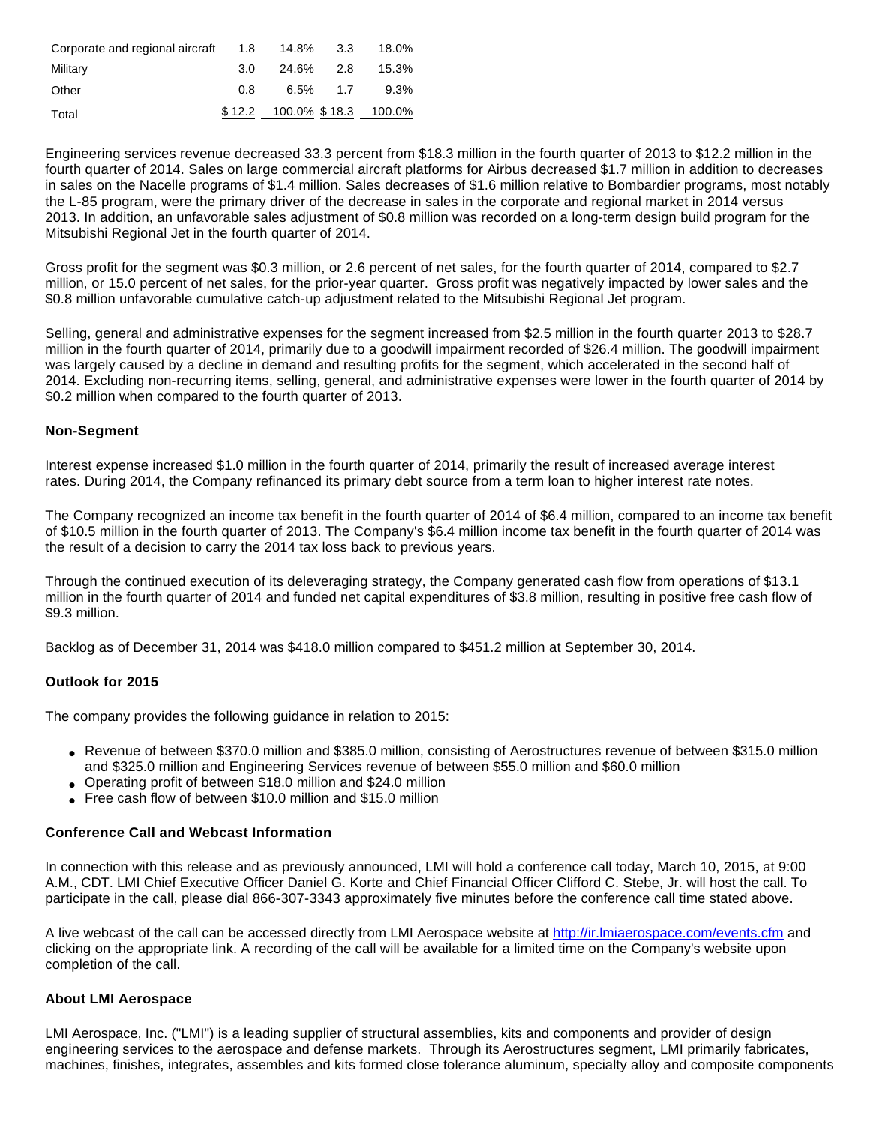| Corporate and regional aircraft 1.8 |     | 14.8% 3.3                   |          | 18.0% |
|-------------------------------------|-----|-----------------------------|----------|-------|
| Military                            | 3.O | 24.6% 2.8                   |          | 15.3% |
| Other                               | 0.8 |                             | 6.5% 1.7 | 9.3%  |
| Total                               |     | \$12.2 100.0% \$18.3 100.0% |          |       |

Engineering services revenue decreased 33.3 percent from \$18.3 million in the fourth quarter of 2013 to \$12.2 million in the fourth quarter of 2014. Sales on large commercial aircraft platforms for Airbus decreased \$1.7 million in addition to decreases in sales on the Nacelle programs of \$1.4 million. Sales decreases of \$1.6 million relative to Bombardier programs, most notably the L-85 program, were the primary driver of the decrease in sales in the corporate and regional market in 2014 versus 2013. In addition, an unfavorable sales adjustment of \$0.8 million was recorded on a long-term design build program for the Mitsubishi Regional Jet in the fourth quarter of 2014.

Gross profit for the segment was \$0.3 million, or 2.6 percent of net sales, for the fourth quarter of 2014, compared to \$2.7 million, or 15.0 percent of net sales, for the prior-year quarter. Gross profit was negatively impacted by lower sales and the \$0.8 million unfavorable cumulative catch-up adjustment related to the Mitsubishi Regional Jet program.

Selling, general and administrative expenses for the segment increased from \$2.5 million in the fourth quarter 2013 to \$28.7 million in the fourth quarter of 2014, primarily due to a goodwill impairment recorded of \$26.4 million. The goodwill impairment was largely caused by a decline in demand and resulting profits for the segment, which accelerated in the second half of 2014. Excluding non-recurring items, selling, general, and administrative expenses were lower in the fourth quarter of 2014 by \$0.2 million when compared to the fourth quarter of 2013.

### **Non-Segment**

Interest expense increased \$1.0 million in the fourth quarter of 2014, primarily the result of increased average interest rates. During 2014, the Company refinanced its primary debt source from a term loan to higher interest rate notes.

The Company recognized an income tax benefit in the fourth quarter of 2014 of \$6.4 million, compared to an income tax benefit of \$10.5 million in the fourth quarter of 2013. The Company's \$6.4 million income tax benefit in the fourth quarter of 2014 was the result of a decision to carry the 2014 tax loss back to previous years.

Through the continued execution of its deleveraging strategy, the Company generated cash flow from operations of \$13.1 million in the fourth quarter of 2014 and funded net capital expenditures of \$3.8 million, resulting in positive free cash flow of \$9.3 million.

Backlog as of December 31, 2014 was \$418.0 million compared to \$451.2 million at September 30, 2014.

### **Outlook for 2015**

The company provides the following guidance in relation to 2015:

- Revenue of between \$370.0 million and \$385.0 million, consisting of Aerostructures revenue of between \$315.0 million and \$325.0 million and Engineering Services revenue of between \$55.0 million and \$60.0 million
- Operating profit of between \$18.0 million and \$24.0 million
- Free cash flow of between \$10.0 million and \$15.0 million

### **Conference Call and Webcast Information**

In connection with this release and as previously announced, LMI will hold a conference call today, March 10, 2015, at 9:00 A.M., CDT. LMI Chief Executive Officer Daniel G. Korte and Chief Financial Officer Clifford C. Stebe, Jr. will host the call. To participate in the call, please dial 866-307-3343 approximately five minutes before the conference call time stated above.

A live webcast of the call can be accessed directly from LMI Aerospace website at [http://ir.lmiaerospace.com/events.cfm](http://www.globenewswire.com/newsroom/ctr?d=10123936&l=28&u=http%3A%2F%2Fir.lmiaerospace.com%2Fevents.cfm) and clicking on the appropriate link. A recording of the call will be available for a limited time on the Company's website upon completion of the call.

### **About LMI Aerospace**

LMI Aerospace, Inc. ("LMI") is a leading supplier of structural assemblies, kits and components and provider of design engineering services to the aerospace and defense markets. Through its Aerostructures segment, LMI primarily fabricates, machines, finishes, integrates, assembles and kits formed close tolerance aluminum, specialty alloy and composite components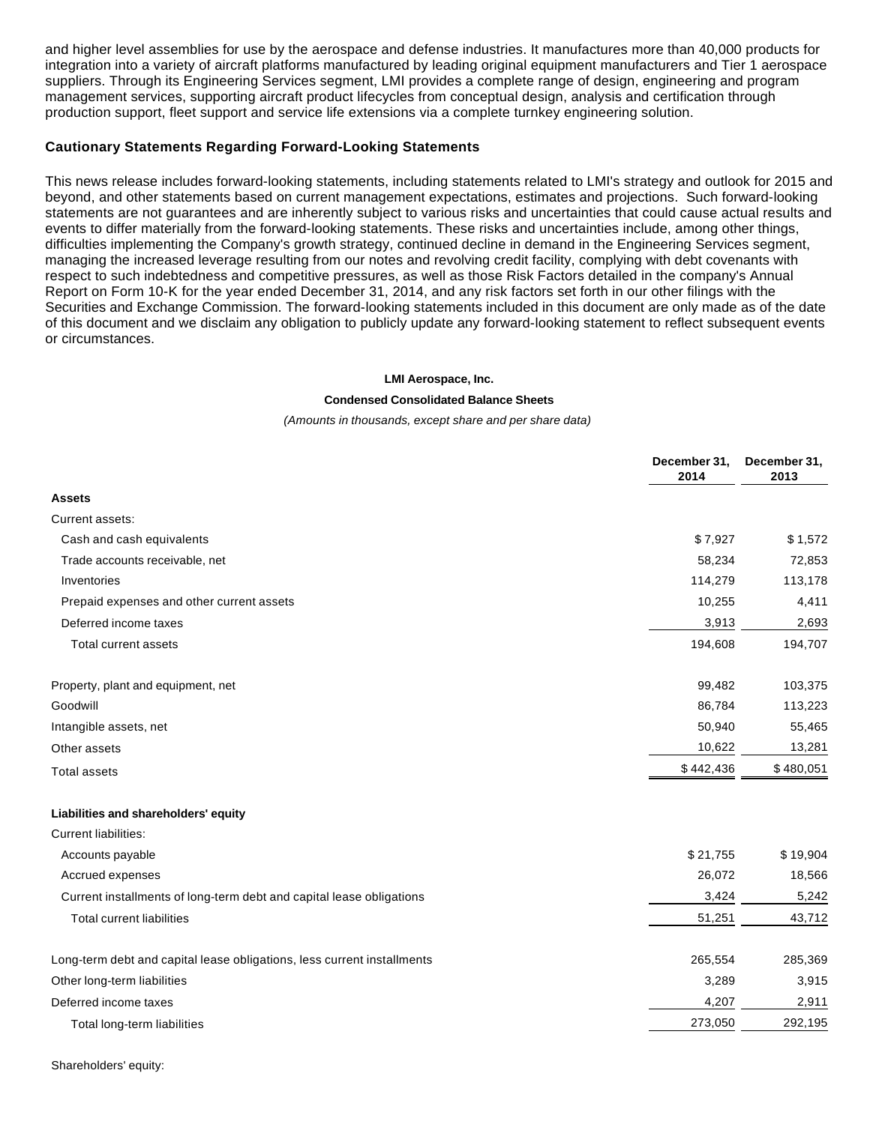and higher level assemblies for use by the aerospace and defense industries. It manufactures more than 40,000 products for integration into a variety of aircraft platforms manufactured by leading original equipment manufacturers and Tier 1 aerospace suppliers. Through its Engineering Services segment, LMI provides a complete range of design, engineering and program management services, supporting aircraft product lifecycles from conceptual design, analysis and certification through production support, fleet support and service life extensions via a complete turnkey engineering solution.

### **Cautionary Statements Regarding Forward-Looking Statements**

This news release includes forward-looking statements, including statements related to LMI's strategy and outlook for 2015 and beyond, and other statements based on current management expectations, estimates and projections. Such forward-looking statements are not guarantees and are inherently subject to various risks and uncertainties that could cause actual results and events to differ materially from the forward-looking statements. These risks and uncertainties include, among other things, difficulties implementing the Company's growth strategy, continued decline in demand in the Engineering Services segment, managing the increased leverage resulting from our notes and revolving credit facility, complying with debt covenants with respect to such indebtedness and competitive pressures, as well as those Risk Factors detailed in the company's Annual Report on Form 10-K for the year ended December 31, 2014, and any risk factors set forth in our other filings with the Securities and Exchange Commission. The forward-looking statements included in this document are only made as of the date of this document and we disclaim any obligation to publicly update any forward-looking statement to reflect subsequent events or circumstances.

#### **LMI Aerospace, Inc.**

#### **Condensed Consolidated Balance Sheets**

#### (Amounts in thousands, except share and per share data)

|                                                                         | December 31,<br>2014 | December 31,<br>2013 |
|-------------------------------------------------------------------------|----------------------|----------------------|
| <b>Assets</b>                                                           |                      |                      |
| Current assets:                                                         |                      |                      |
| Cash and cash equivalents                                               | \$7,927              | \$1,572              |
| Trade accounts receivable, net                                          | 58,234               | 72,853               |
| Inventories                                                             | 114,279              | 113,178              |
| Prepaid expenses and other current assets                               | 10,255               | 4,411                |
| Deferred income taxes                                                   | 3,913                | 2,693                |
| Total current assets                                                    | 194,608              | 194,707              |
| Property, plant and equipment, net                                      | 99,482               | 103,375              |
| Goodwill                                                                | 86,784               | 113,223              |
| Intangible assets, net                                                  | 50,940               | 55,465               |
| Other assets                                                            | 10,622               | 13,281               |
| <b>Total assets</b>                                                     | \$442,436            | \$480,051            |
| Liabilities and shareholders' equity                                    |                      |                      |
| <b>Current liabilities:</b>                                             |                      |                      |
| Accounts payable                                                        | \$21,755             | \$19,904             |
| Accrued expenses                                                        | 26,072               | 18,566               |
| Current installments of long-term debt and capital lease obligations    | 3,424                | 5,242                |
| <b>Total current liabilities</b>                                        | 51,251               | 43,712               |
| Long-term debt and capital lease obligations, less current installments | 265,554              | 285,369              |
| Other long-term liabilities                                             | 3,289                | 3,915                |
| Deferred income taxes                                                   | 4,207                | 2,911                |
| Total long-term liabilities                                             | 273,050              | 292,195              |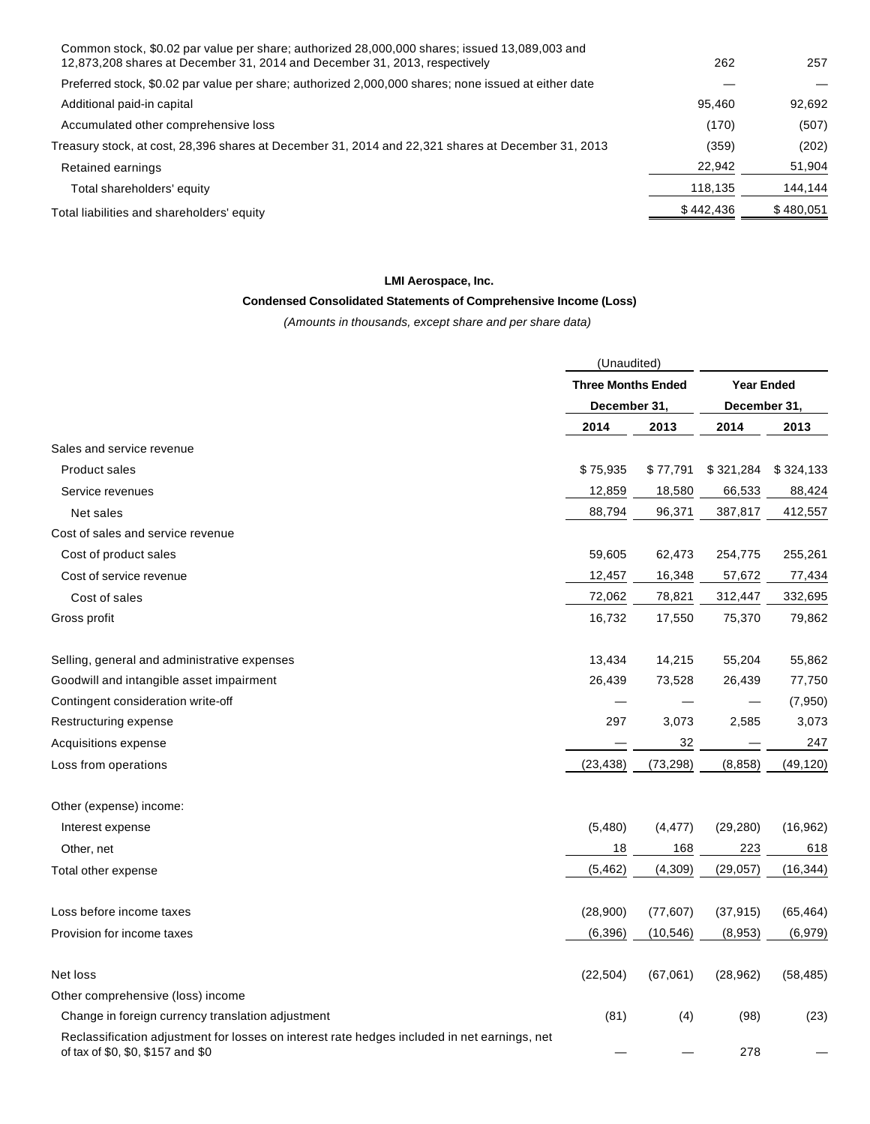| Common stock, \$0.02 par value per share; authorized 28,000,000 shares; issued 13,089,003 and<br>12,873,208 shares at December 31, 2014 and December 31, 2013, respectively | 262       | 257       |
|-----------------------------------------------------------------------------------------------------------------------------------------------------------------------------|-----------|-----------|
| Preferred stock, \$0.02 par value per share; authorized 2,000,000 shares; none issued at either date                                                                        |           |           |
| Additional paid-in capital                                                                                                                                                  | 95.460    | 92.692    |
| Accumulated other comprehensive loss                                                                                                                                        | (170)     | (507)     |
| 1, 2013 Treasury stock, at cost, 28,396 shares at December 31, 2014 and 22,321 shares at December 31,                                                                       | (359)     | (202)     |
| Retained earnings                                                                                                                                                           | 22,942    | 51,904    |
| Total shareholders' equity                                                                                                                                                  | 118,135   | 144,144   |
| Total liabilities and shareholders' equity                                                                                                                                  | \$442,436 | \$480,051 |
|                                                                                                                                                                             |           |           |

# **LMI Aerospace, Inc.**

# **Condensed Consolidated Statements of Comprehensive Income (Loss)**

(Amounts in thousands, except share and per share data)

|                                                                                                                                   | (Unaudited)               |           |                   |           |
|-----------------------------------------------------------------------------------------------------------------------------------|---------------------------|-----------|-------------------|-----------|
|                                                                                                                                   | <b>Three Months Ended</b> |           | <b>Year Ended</b> |           |
|                                                                                                                                   | December 31,              |           | December 31,      |           |
|                                                                                                                                   | 2014                      | 2013      | 2014              | 2013      |
| Sales and service revenue                                                                                                         |                           |           |                   |           |
| <b>Product sales</b>                                                                                                              | \$75,935                  | \$77,791  | \$321,284         | \$324,133 |
| Service revenues                                                                                                                  | 12,859                    | 18,580    | 66,533            | 88,424    |
| Net sales                                                                                                                         | 88,794                    | 96,371    | 387,817           | 412,557   |
| Cost of sales and service revenue                                                                                                 |                           |           |                   |           |
| Cost of product sales                                                                                                             | 59,605                    | 62,473    | 254,775           | 255,261   |
| Cost of service revenue                                                                                                           | 12,457                    | 16,348    | 57,672            | 77,434    |
| Cost of sales                                                                                                                     | 72,062                    | 78,821    | 312,447           | 332,695   |
| Gross profit                                                                                                                      | 16,732                    | 17,550    | 75,370            | 79,862    |
| Selling, general and administrative expenses                                                                                      | 13,434                    | 14,215    | 55,204            | 55,862    |
| Goodwill and intangible asset impairment                                                                                          | 26,439                    | 73,528    | 26,439            | 77,750    |
| Contingent consideration write-off                                                                                                |                           |           |                   | (7,950)   |
| Restructuring expense                                                                                                             | 297                       | 3,073     | 2,585             | 3,073     |
| Acquisitions expense                                                                                                              |                           | 32        |                   | 247       |
| Loss from operations                                                                                                              | (23, 438)                 | (73, 298) | (8, 858)          | (49, 120) |
| Other (expense) income:                                                                                                           |                           |           |                   |           |
| Interest expense                                                                                                                  | (5,480)                   | (4, 477)  | (29, 280)         | (16, 962) |
| Other, net                                                                                                                        | 18                        | 168       | 223               | 618       |
| Total other expense                                                                                                               | (5, 462)                  | (4, 309)  | (29, 057)         | (16, 344) |
| Loss before income taxes                                                                                                          | (28,900)                  | (77, 607) | (37, 915)         | (65, 464) |
| Provision for income taxes                                                                                                        | (6, 396)                  | (10, 546) | (8,953)           | (6,979)   |
| Net loss                                                                                                                          | (22, 504)                 | (67,061)  | (28, 962)         | (58, 485) |
| Other comprehensive (loss) income                                                                                                 |                           |           |                   |           |
| Change in foreign currency translation adjustment                                                                                 | (81)                      | (4)       | (98)              | (23)      |
| Reclassification adjustment for losses on interest rate hedges included in net earnings, net<br>of tax of \$0, \$0, \$157 and \$0 |                           |           | 278               |           |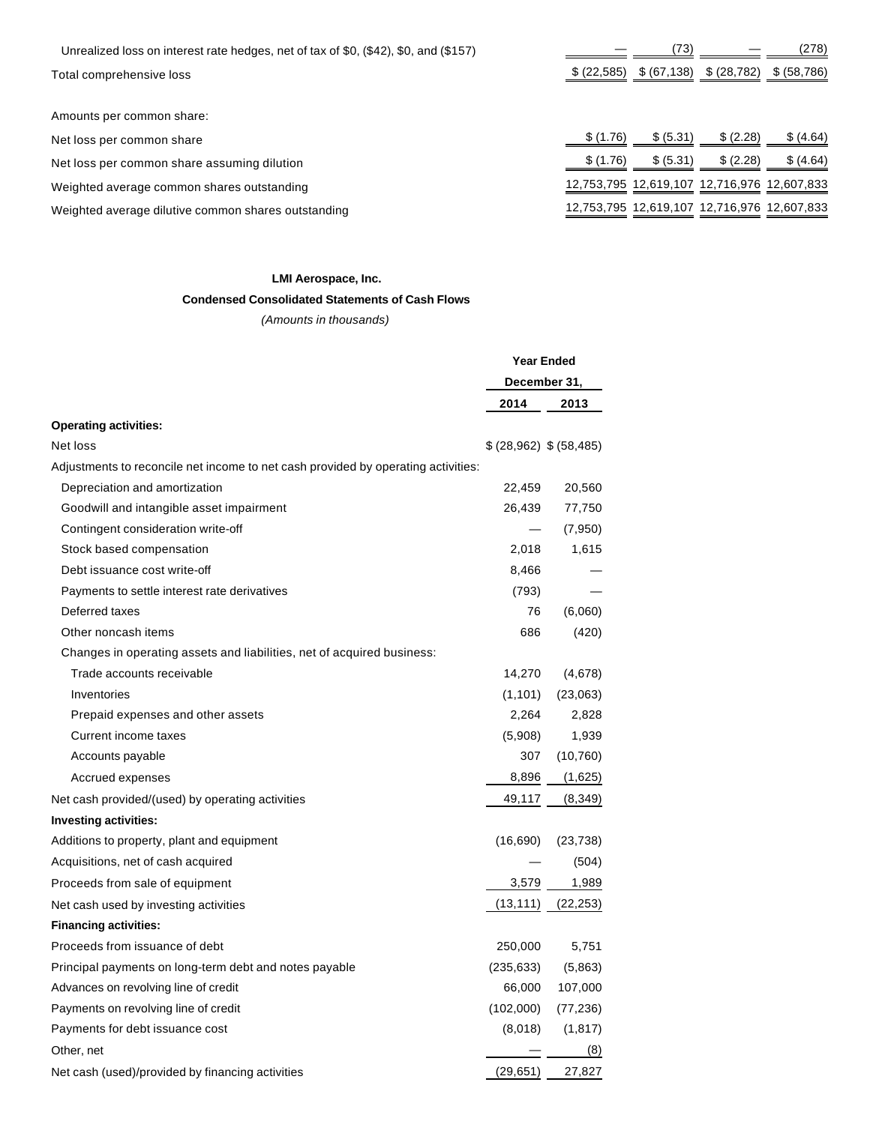| Unrealized loss on interest rate hedges, net of tax of \$0, (\$42), \$0, and (\$157) |              | (73)         |                                             | (278)        |
|--------------------------------------------------------------------------------------|--------------|--------------|---------------------------------------------|--------------|
| Total comprehensive loss                                                             | \$ (22, 585) | \$ (67, 138) | \$ (28, 782)                                | \$ (58, 786) |
|                                                                                      |              |              |                                             |              |
| Amounts per common share:                                                            |              |              |                                             |              |
| Net loss per common share                                                            | \$(1.76)     | \$ (5.31)    | \$ (2.28)                                   | \$ (4.64)    |
| Net loss per common share assuming dilution                                          | \$(1.76)     | \$ (5.31)    | \$ (2.28)                                   | \$ (4.64)    |
| Weighted average common shares outstanding                                           |              |              | 12,753,795 12,619,107 12,716,976 12,607,833 |              |
| Weighted average dilutive common shares outstanding                                  |              |              | 12,753,795 12,619,107 12,716,976 12,607,833 |              |

### **LMI Aerospace, Inc.**

# **Condensed Consolidated Statements of Cash Flows**

(Amounts in thousands)

|                                                                                   | <b>Year Ended</b>      |           |
|-----------------------------------------------------------------------------------|------------------------|-----------|
|                                                                                   | December 31,           |           |
|                                                                                   | 2014                   | 2013      |
| <b>Operating activities:</b>                                                      |                        |           |
| Net loss                                                                          | \$(28,962) \$ (58,485) |           |
| Adjustments to reconcile net income to net cash provided by operating activities: |                        |           |
| Depreciation and amortization                                                     | 22,459                 | 20,560    |
| Goodwill and intangible asset impairment                                          | 26,439                 | 77,750    |
| Contingent consideration write-off                                                |                        | (7,950)   |
| Stock based compensation                                                          | 2,018                  | 1,615     |
| Debt issuance cost write-off                                                      | 8,466                  |           |
| Payments to settle interest rate derivatives                                      | (793)                  |           |
| Deferred taxes                                                                    | 76                     | (6,060)   |
| Other noncash items                                                               | 686                    | (420)     |
| Changes in operating assets and liabilities, net of acquired business:            |                        |           |
| Trade accounts receivable                                                         | 14,270                 | (4,678)   |
| Inventories                                                                       | (1, 101)               | (23,063)  |
| Prepaid expenses and other assets                                                 | 2,264                  | 2,828     |
| Current income taxes                                                              | (5,908)                | 1,939     |
| Accounts payable                                                                  | 307                    | (10, 760) |
| Accrued expenses                                                                  | 8,896                  | (1,625)   |
| Net cash provided/(used) by operating activities                                  | 49,117                 | (8,349)   |
| <b>Investing activities:</b>                                                      |                        |           |
| Additions to property, plant and equipment                                        | (16, 690)              | (23, 738) |
| Acquisitions, net of cash acquired                                                |                        | (504)     |
| Proceeds from sale of equipment                                                   | 3,579                  | 1,989     |
| Net cash used by investing activities                                             | (13, 111)              | (22, 253) |
| <b>Financing activities:</b>                                                      |                        |           |
| Proceeds from issuance of debt                                                    | 250,000                | 5,751     |
| Principal payments on long-term debt and notes payable                            | (235, 633)             | (5,863)   |
| Advances on revolving line of credit                                              | 66,000                 | 107,000   |
| Payments on revolving line of credit                                              | (102,000)              | (77, 236) |
| Payments for debt issuance cost                                                   | (8,018)                | (1, 817)  |
| Other, net                                                                        |                        | (8)       |
| Net cash (used)/provided by financing activities                                  | (29, 651)              | 27,827    |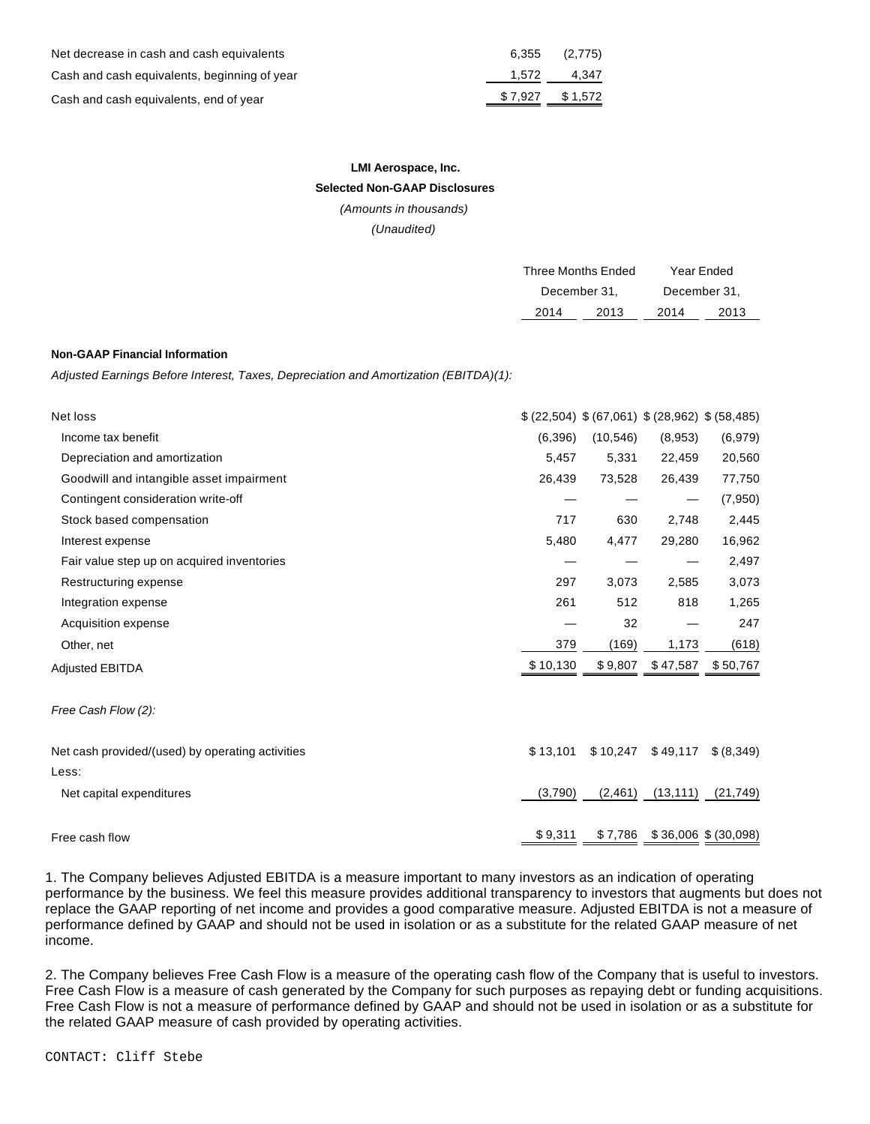| Net decrease in cash and cash equivalents    | 6.355   | (2,775)     |
|----------------------------------------------|---------|-------------|
| Cash and cash equivalents, beginning of year |         | 1,572 4,347 |
| Cash and cash equivalents, end of year       | \$7.927 | \$1,572     |

# **LMI Aerospace, Inc.**

# **Selected Non-GAAP Disclosures**

(Amounts in thousands)

(Unaudited)

| <b>Three Months Ended</b> |      | Year Ended   |      |
|---------------------------|------|--------------|------|
| December 31,              |      | December 31, |      |
| 2014                      | 2013 | 2014         | 2013 |
|                           |      |              |      |

#### **Non-GAAP Financial Information**

Adjusted Earnings Before Interest, Taxes, Depreciation and Amortization (EBITDA)(1):

| Net loss                                         |          |           | $(22,504)$ \$ (67,061) \$ (28,962) \$ (58,485) |            |
|--------------------------------------------------|----------|-----------|------------------------------------------------|------------|
| Income tax benefit                               | (6, 396) | (10, 546) | (8,953)                                        | (6,979)    |
| Depreciation and amortization                    | 5,457    | 5,331     | 22,459                                         | 20,560     |
| Goodwill and intangible asset impairment         | 26,439   | 73,528    | 26,439                                         | 77,750     |
| Contingent consideration write-off               |          |           |                                                | (7,950)    |
| Stock based compensation                         | 717      | 630       | 2,748                                          | 2,445      |
| Interest expense                                 | 5,480    | 4,477     | 29,280                                         | 16,962     |
| Fair value step up on acquired inventories       |          |           |                                                | 2,497      |
| Restructuring expense                            | 297      | 3,073     | 2,585                                          | 3,073      |
| Integration expense                              | 261      | 512       | 818                                            | 1,265      |
| Acquisition expense                              |          | 32        |                                                | 247        |
| Other, net                                       | 379      | (169)     | 1,173                                          | (618)      |
| <b>Adjusted EBITDA</b>                           | \$10,130 | \$9,807   | \$47,587                                       | \$50,767   |
| Free Cash Flow (2):                              |          |           |                                                |            |
| Net cash provided/(used) by operating activities | \$13,101 | \$10,247  | \$49,117                                       | \$ (8,349) |
| Less:                                            |          |           |                                                |            |
| Net capital expenditures                         | (3,790)  | (2, 461)  | (13, 111)                                      | (21, 749)  |
| Free cash flow                                   | \$9,311  |           | $$7,786$ $$36,006$ $$(30,098)$                 |            |

1. The Company believes Adjusted EBITDA is a measure important to many investors as an indication of operating performance by the business. We feel this measure provides additional transparency to investors that augments but does not replace the GAAP reporting of net income and provides a good comparative measure. Adjusted EBITDA is not a measure of performance defined by GAAP and should not be used in isolation or as a substitute for the related GAAP measure of net income.

2. The Company believes Free Cash Flow is a measure of the operating cash flow of the Company that is useful to investors. Free Cash Flow is a measure of cash generated by the Company for such purposes as repaying debt or funding acquisitions. Free Cash Flow is not a measure of performance defined by GAAP and should not be used in isolation or as a substitute for the related GAAP measure of cash provided by operating activities.